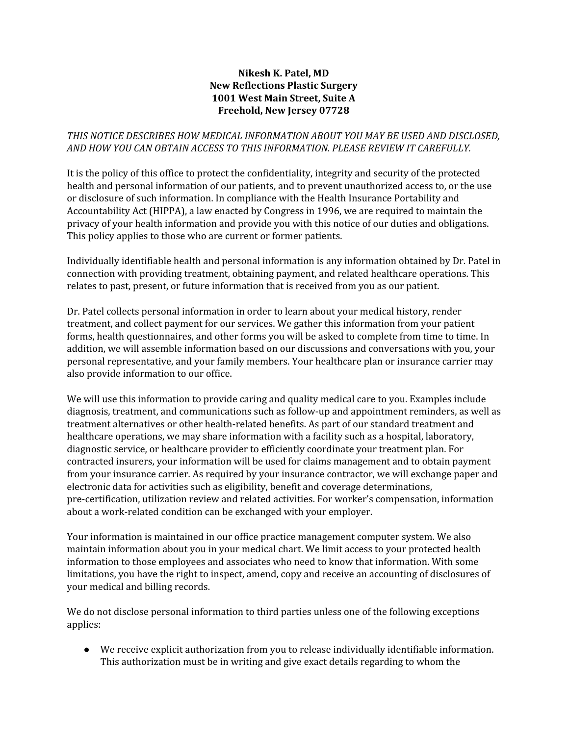## **Nikesh K. Patel, MD New Reflections Plastic Surgery 1001 West Main Street, Suite A Freehold, New Jersey 07728**

## *THIS NOTICE DESCRIBES HOW MEDICAL INFORMATION ABOUT YOU MAY BE USED AND DISCLOSED, AND HOW YOU CAN OBTAIN ACCESS TO THIS INFORMATION. PLEASE REVIEW IT CAREFULLY.*

It is the policy of this office to protect the confidentiality, integrity and security of the protected health and personal information of our patients, and to prevent unauthorized access to, or the use or disclosure of such information. In compliance with the Health Insurance Portability and Accountability Act (HIPPA), a law enacted by Congress in 1996, we are required to maintain the privacy of your health information and provide you with this notice of our duties and obligations. This policy applies to those who are current or former patients.

Individually identifiable health and personal information is any information obtained by Dr. Patel in connection with providing treatment, obtaining payment, and related healthcare operations. This relates to past, present, or future information that is received from you as our patient.

Dr. Patel collects personal information in order to learn about your medical history, render treatment, and collect payment for our services. We gather this information from your patient forms, health questionnaires, and other forms you will be asked to complete from time to time. In addition, we will assemble information based on our discussions and conversations with you, your personal representative, and your family members. Your healthcare plan or insurance carrier may also provide information to our office.

We will use this information to provide caring and quality medical care to you. Examples include diagnosis, treatment, and communications such as follow-up and appointment reminders, as well as treatment alternatives or other health-related benefits. As part of our standard treatment and healthcare operations, we may share information with a facility such as a hospital, laboratory, diagnostic service, or healthcare provider to efficiently coordinate your treatment plan. For contracted insurers, your information will be used for claims management and to obtain payment from your insurance carrier. As required by your insurance contractor, we will exchange paper and electronic data for activities such as eligibility, benefit and coverage determinations, pre-certification, utilization review and related activities. For worker's compensation, information about a work-related condition can be exchanged with your employer.

Your information is maintained in our office practice management computer system. We also maintain information about you in your medical chart. We limit access to your protected health information to those employees and associates who need to know that information. With some limitations, you have the right to inspect, amend, copy and receive an accounting of disclosures of your medical and billing records.

We do not disclose personal information to third parties unless one of the following exceptions applies:

● We receive explicit authorization from you to release individually identifiable information. This authorization must be in writing and give exact details regarding to whom the